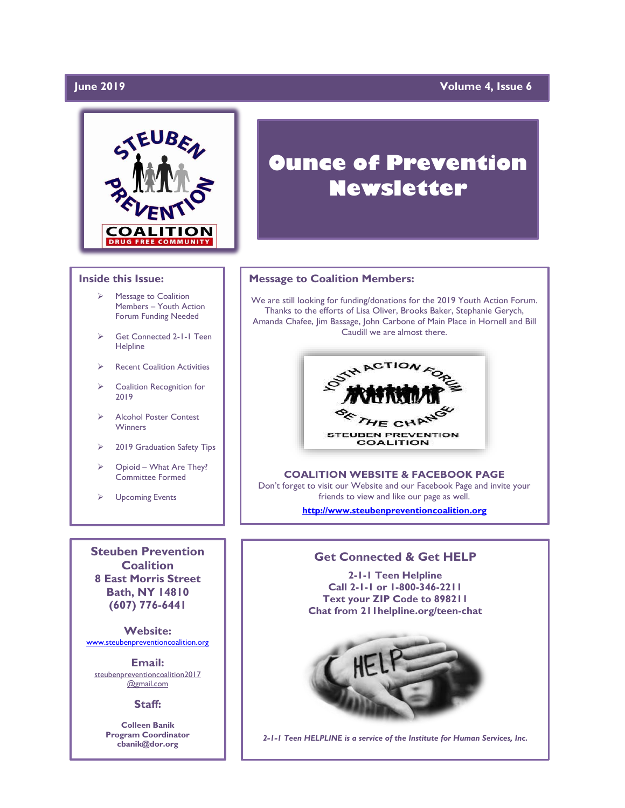# **June 2019**

# **Volume 4, Issue 6**



#### **Inside this Issue:**

- ➢ Message to Coalition Members – Youth Action Forum Funding Needed
- Get Connected 2-1-1 Teen **Helpline**
- **Recent Coalition Activities**
- ➢ Coalition Recognition for 2019
- ➢ Alcohol Poster Contest **Winners**
- ➢ 2019 Graduation Safety Tips
- ➢ Opioid What Are They? Committee Formed
- **Upcoming Events**

**Steuben Prevention Coalition 8 East Morris Street Bath, NY 14810 (607) 776-6441**

**Website:**  [www.steubenpreventioncoalition.org](http://www.steubenpreventioncoalition.org/)

**Email:**  steubenpreventioncoalition2017 @gmail.com

#### **Staff:**

**Colleen Banik Program Coordinator cbanik@dor.org**

# **Ounce of Prevention Newsletter**

#### **Message to Coalition Members:**

We are still looking for funding/donations for the 2019 Youth Action Forum. Thanks to the efforts of Lisa Oliver, Brooks Baker, Stephanie Gerych, Amanda Chafee, Jim Bassage, John Carbone of Main Place in Hornell and Bill Caudill we are almost there.



**COALITION WEBSITE & FACEBOOK PAGE** Don't forget to visit our Website and our Facebook Page and invite your friends to view and like our page as well.

**[http://www.steubenpreventioncoalition.org](http://www.steubenpreventioncoalition.org/)**

# **Get Connected & Get HELP**

**2-1-1 Teen Helpline Call 2-1-1 or 1-800-346-2211 Text your ZIP Code to 898211 Chat from 211helpline.org/teen-chat**



*2-1-1 Teen HELPLINE is a service of the Institute for Human Services, Inc.*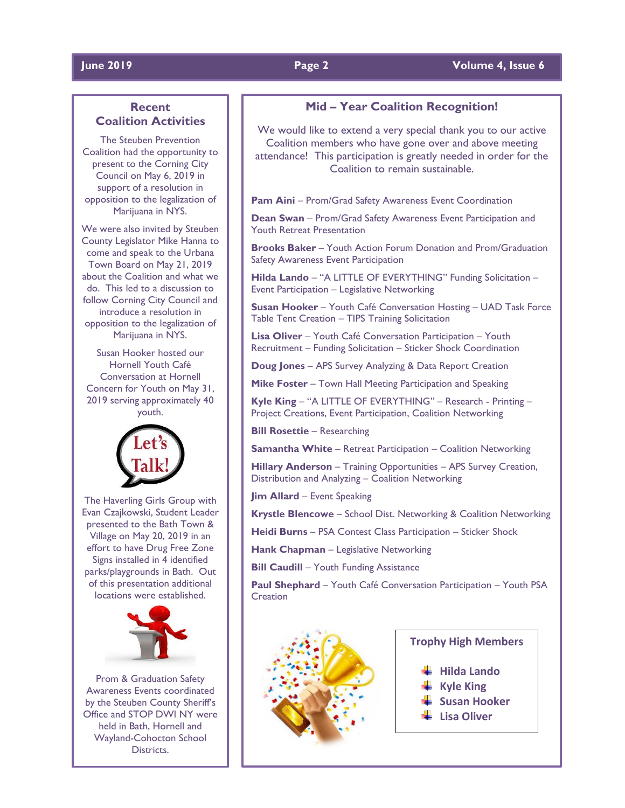### **June 2019 Page 2 Volume 4, Issue 6**

# **Recent Coalition Activities**

The Steuben Prevention Coalition had the opportunity to present to the Corning City Council on May 6, 2019 in support of a resolution in opposition to the legalization of Marijuana in NYS.

We were also invited by Steuben County Legislator Mike Hanna to come and speak to the Urbana Town Board on May 21, 2019 about the Coalition and what we do. This led to a discussion to follow Corning City Council and introduce a resolution in opposition to the legalization of Marijuana in NYS.

Susan Hooker hosted our Hornell Youth Café Conversation at Hornell Concern for Youth on May 31, 2019 serving approximately 40 youth.



The Haverling Girls Group with Evan Czajkowski, Student Leader presented to the Bath Town & Village on May 20, 2019 in an effort to have Drug Free Zone Signs installed in 4 identified parks/playgrounds in Bath. Out of this presentation additional locations were established.



Prom & Graduation Safety Awareness Events coordinated by the Steuben County Sheriff's Office and STOP DWI NY were held in Bath, Hornell and Wayland-Cohocton School **Districts** 

# **Mid – Year Coalition Recognition!**

We would like to extend a very special thank you to our active Coalition members who have gone over and above meeting attendance! This participation is greatly needed in order for the Coalition to remain sustainable.

**Pam Aini** – Prom/Grad Safety Awareness Event Coordination

**Dean Swan** – Prom/Grad Safety Awareness Event Participation and Youth Retreat Presentation

**Brooks Baker** – Youth Action Forum Donation and Prom/Graduation Safety Awareness Event Participation

**Hilda Lando** – "A LITTLE OF EVERYTHING" Funding Solicitation – Event Participation – Legislative Networking

**Susan Hooker** – Youth Café Conversation Hosting – UAD Task Force Table Tent Creation – TIPS Training Solicitation

**Lisa Oliver** – Youth Café Conversation Participation – Youth Recruitment – Funding Solicitation – Sticker Shock Coordination

**Doug Jones** – APS Survey Analyzing & Data Report Creation

**Mike Foster** – Town Hall Meeting Participation and Speaking

**Kyle King** – "A LITTLE OF EVERYTHING" – Research - Printing – Project Creations, Event Participation, Coalition Networking

**Bill Rosettie** – Researching

**Samantha White** – Retreat Participation – Coalition Networking

**Hillary Anderson** – Training Opportunities – APS Survey Creation, Distribution and Analyzing – Coalition Networking

**Jim Allard** – Event Speaking

**Krystle Blencowe** – School Dist. Networking & Coalition Networking

**Heidi Burns** – PSA Contest Class Participation – Sticker Shock

**Hank Chapman** – Legislative Networking

**Bill Caudill** – Youth Funding Assistance

**Paul Shephard** – Youth Café Conversation Participation – Youth PSA **Creation** 



# **Trophy High Members**

- **Hilda Lando**
- **Kyle King**
- **Susan Hooker**
- **Lisa Oliver**
-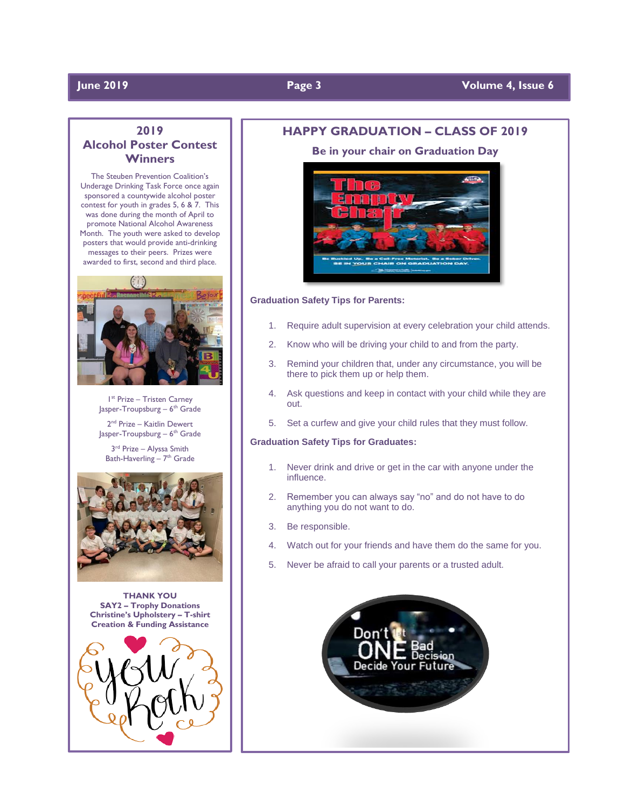# **June 2019 Page 3 Volume 4, Issue 6**

# **2019 Alcohol Poster Contest Winners**

The Steuben Prevention Coalition's Underage Drinking Task Force once again sponsored a countywide alcohol poster contest for youth in grades 5, 6 & 7. This was done during the month of April to promote National Alcohol Awareness Month. The youth were asked to develop posters that would provide anti-drinking messages to their peers. Prizes were awarded to first, second and third place.



1 st Prize – Tristen Carney Jasper-Troupsburg – 6<sup>th</sup> Grade

2<sup>nd</sup> Prize – Kaitlin Dewert Jasper-Troupsburg – 6<sup>th</sup> Grade

3<sup>rd</sup> Prize - Alyssa Smith Bath-Haverling - 7<sup>th</sup> Grade



**THANK YOU SAY2 – Trophy Donations Christine's Upholstery – T-shirt Creation & Funding Assistance**



### **HAPPY GRADUATION – CLASS OF 2019**

**Be in your chair on Graduation Day**



### **Graduation Safety Tips for Parents:**

- 1. Require adult supervision at every celebration your child attends.
- 2. Know who will be driving your child to and from the party.
- 3. Remind your children that, under any circumstance, you will be there to pick them up or help them.
- 4. Ask questions and keep in contact with your child while they are out.
- 5. Set a curfew and give your child rules that they must follow.

#### **Graduation Safety Tips for Graduates:**

- 1. Never drink and drive or get in the car with anyone under the influence.
- 2. Remember you can always say "no" and do not have to do anything you do not want to do.
- 3. Be responsible.
- 4. Watch out for your friends and have them do the same for you.
- 5. Never be afraid to call your parents or a trusted adult.